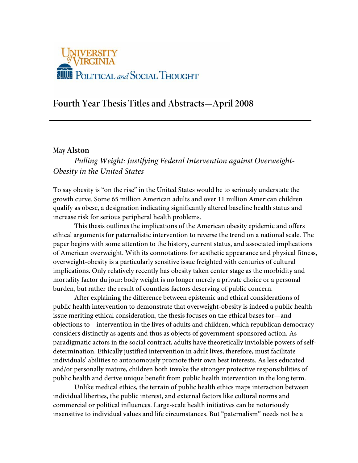

# **Fourth Year Thesis Titles and Abstracts—April 2008**

### **May Alston**

# *Pulling Weight: Justifying Federal Intervention against Overweight-Obesity in the United States*

To say obesity is "on the rise" in the United States would be to seriously understate the growth curve. Some 65 million American adults and over 11 million American children qualify as obese, a designation indicating significantly altered baseline health status and increase risk for serious peripheral health problems.

This thesis outlines the implications of the American obesity epidemic and offers ethical arguments for paternalistic intervention to reverse the trend on a national scale. The paper begins with some attention to the history, current status, and associated implications of American overweight. With its connotations for aesthetic appearance and physical fitness, overweight-obesity is a particularly sensitive issue freighted with centuries of cultural implications. Only relatively recently has obesity taken center stage as the morbidity and mortality factor du jour: body weight is no longer merely a private choice or a personal burden, but rather the result of countless factors deserving of public concern.

After explaining the difference between epistemic and ethical considerations of public health intervention to demonstrate that overweight-obesity is indeed a public health issue meriting ethical consideration, the thesis focuses on the ethical bases for—and objections to—intervention in the lives of adults and children, which republican democracy considers distinctly as agents and thus as objects of government-sponsored action. As paradigmatic actors in the social contract, adults have theoretically inviolable powers of selfdetermination. Ethically justified intervention in adult lives, therefore, must facilitate individuals' abilities to autonomously promote their own best interests. As less educated and/or personally mature, children both invoke the stronger protective responsibilities of public health and derive unique benefit from public health intervention in the long term.

Unlike medical ethics, the terrain of public health ethics maps interaction between individual liberties, the public interest, and external factors like cultural norms and commercial or political influences. Large-scale health initiatives can be notoriously insensitive to individual values and life circumstances. But "paternalism" needs not be a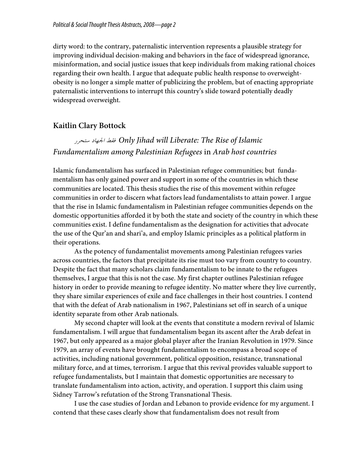dirty word: to the contrary, paternalistic intervention represents a plausible strategy for improving individual decision-making and behaviors in the face of widespread ignorance, misinformation, and social justice issues that keep individuals from making rational choices regarding their own health. I argue that adequate public health response to overweightobesity is no longer a simple matter of publicizing the problem, but of enacting appropriate paternalistic interventions to interrupt this country's slide toward potentially deadly widespread overweight.

# **Kaitlin Clary Bottock**

# ستحرر الجهاد فقط *Only Jihad will Liberate: The Rise of Islamic Fundamentalism among Palestinian Refugees* in *Arab host countries*

Islamic fundamentalism has surfaced in Palestinian refugee communities; but fundamentalism has only gained power and support in some of the countries in which these communities are located. This thesis studies the rise of this movement within refugee communities in order to discern what factors lead fundamentalists to attain power. I argue that the rise in Islamic fundamentalism in Palestinian refugee communities depends on the domestic opportunities afforded it by both the state and society of the country in which these communities exist. I define fundamentalism as the designation for activities that advocate the use of the Qur'an and shari'a, and employ Islamic principles as a political platform in their operations.

As the potency of fundamentalist movements among Palestinian refugees varies across countries, the factors that precipitate its rise must too vary from country to country. Despite the fact that many scholars claim fundamentalism to be innate to the refugees themselves, I argue that this is not the case. My first chapter outlines Palestinian refugee history in order to provide meaning to refugee identity. No matter where they live currently, they share similar experiences of exile and face challenges in their host countries. I contend that with the defeat of Arab nationalism in 1967, Palestinians set off in search of a unique identity separate from other Arab nationals.

My second chapter will look at the events that constitute a modern revival of Islamic fundamentalism. I will argue that fundamentalism began its ascent after the Arab defeat in 1967, but only appeared as a major global player after the Iranian Revolution in 1979. Since 1979, an array of events have brought fundamentalism to encompass a broad scope of activities, including national government, political opposition, resistance, transnational military force, and at times, terrorism. I argue that this revival provides valuable support to refugee fundamentalists, but I maintain that domestic opportunities are necessary to translate fundamentalism into action, activity, and operation. I support this claim using Sidney Tarrow's refutation of the Strong Transnational Thesis.

I use the case studies of Jordan and Lebanon to provide evidence for my argument. I contend that these cases clearly show that fundamentalism does not result from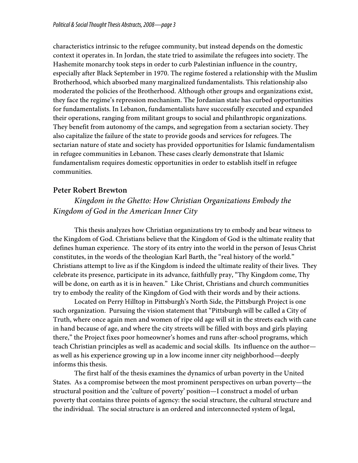characteristics intrinsic to the refugee community, but instead depends on the domestic context it operates in. In Jordan, the state tried to assimilate the refugees into society. The Hashemite monarchy took steps in order to curb Palestinian influence in the country, especially after Black September in 1970. The regime fostered a relationship with the Muslim Brotherhood, which absorbed many marginalized fundamentalists. This relationship also moderated the policies of the Brotherhood. Although other groups and organizations exist, they face the regime's repression mechanism. The Jordanian state has curbed opportunities for fundamentalists. In Lebanon, fundamentalists have successfully executed and expanded their operations, ranging from militant groups to social and philanthropic organizations. They benefit from autonomy of the camps, and segregation from a sectarian society. They also capitalize the failure of the state to provide goods and services for refugees. The sectarian nature of state and society has provided opportunities for Islamic fundamentalism in refugee communities in Lebanon. These cases clearly demonstrate that Islamic fundamentalism requires domestic opportunities in order to establish itself in refugee communities.

# **Peter Robert Brewton**

# *Kingdom in the Ghetto: How Christian Organizations Embody the Kingdom of God in the American Inner City*

This thesis analyzes how Christian organizations try to embody and bear witness to the Kingdom of God. Christians believe that the Kingdom of God is the ultimate reality that defines human experience. The story of its entry into the world in the person of Jesus Christ constitutes, in the words of the theologian Karl Barth, the "real history of the world." Christians attempt to live as if the Kingdom is indeed the ultimate reality of their lives. They celebrate its presence, participate in its advance, faithfully pray, "Thy Kingdom come, Thy will be done, on earth as it is in heaven." Like Christ, Christians and church communities try to embody the reality of the Kingdom of God with their words and by their actions.

Located on Perry Hilltop in Pittsburgh's North Side, the Pittsburgh Project is one such organization. Pursuing the vision statement that "Pittsburgh will be called a City of Truth, where once again men and women of ripe old age will sit in the streets each with cane in hand because of age, and where the city streets will be filled with boys and girls playing there," the Project fixes poor homeowner's homes and runs after-school programs, which teach Christian principles as well as academic and social skills. Its influence on the author as well as his experience growing up in a low income inner city neighborhood—deeply informs this thesis.

The first half of the thesis examines the dynamics of urban poverty in the United States. As a compromise between the most prominent perspectives on urban poverty—the structural position and the 'culture of poverty' position—I construct a model of urban poverty that contains three points of agency: the social structure, the cultural structure and the individual. The social structure is an ordered and interconnected system of legal,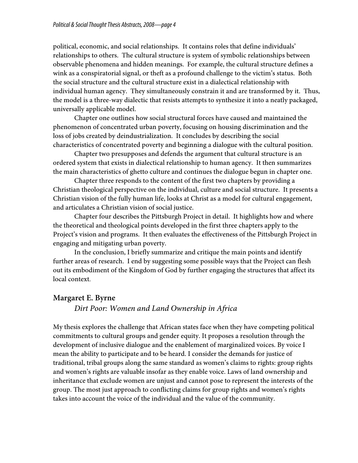political, economic, and social relationships. It contains roles that define individuals' relationships to others. The cultural structure is system of symbolic relationships between observable phenomena and hidden meanings. For example, the cultural structure defines a wink as a conspiratorial signal, or theft as a profound challenge to the victim's status. Both the social structure and the cultural structure exist in a dialectical relationship with individual human agency. They simultaneously constrain it and are transformed by it. Thus, the model is a three-way dialectic that resists attempts to synthesize it into a neatly packaged, universally applicable model.

Chapter one outlines how social structural forces have caused and maintained the phenomenon of concentrated urban poverty, focusing on housing discrimination and the loss of jobs created by deindustrialization. It concludes by describing the social characteristics of concentrated poverty and beginning a dialogue with the cultural position.

Chapter two presupposes and defends the argument that cultural structure is an ordered system that exists in dialectical relationship to human agency. It then summarizes the main characteristics of ghetto culture and continues the dialogue begun in chapter one.

Chapter three responds to the content of the first two chapters by providing a Christian theological perspective on the individual, culture and social structure. It presents a Christian vision of the fully human life, looks at Christ as a model for cultural engagement, and articulates a Christian vision of social justice.

Chapter four describes the Pittsburgh Project in detail. It highlights how and where the theoretical and theological points developed in the first three chapters apply to the Project's vision and programs. It then evaluates the effectiveness of the Pittsburgh Project in engaging and mitigating urban poverty.

In the conclusion, I briefly summarize and critique the main points and identify further areas of research. I end by suggesting some possible ways that the Project can flesh out its embodiment of the Kingdom of God by further engaging the structures that affect its local context.

# **Margaret E. Byrne**

### *Dirt Poor: Women and Land Ownership in Africa*

My thesis explores the challenge that African states face when they have competing political commitments to cultural groups and gender equity. It proposes a resolution through the development of inclusive dialogue and the enablement of marginalized voices. By voice I mean the ability to participate and to be heard. I consider the demands for justice of traditional, tribal groups along the same standard as women's claims to rights: group rights and women's rights are valuable insofar as they enable voice. Laws of land ownership and inheritance that exclude women are unjust and cannot pose to represent the interests of the group. The most just approach to conflicting claims for group rights and women's rights takes into account the voice of the individual and the value of the community.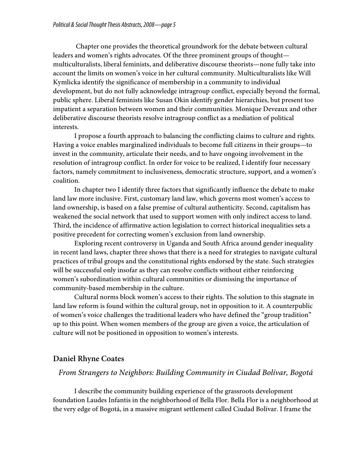Chapter one provides the theoretical groundwork for the debate between cultural leaders and women's rights advocates. Of the three prominent groups of thought multiculturalists, liberal feminists, and deliberative discourse theorists—none fully take into account the limits on women's voice in her cultural community. Multiculturalists like Will Kymlicka identify the significance of membership in a community to individual development, but do not fully acknowledge intragroup conflict, especially beyond the formal, public sphere. Liberal feminists like Susan Okin identify gender hierarchies, but present too impatient a separation between women and their communities. Monique Deveaux and other deliberative discourse theorists resolve intragroup conflict as a mediation of political interests.

I propose a fourth approach to balancing the conflicting claims to culture and rights. Having a voice enables marginalized individuals to become full citizens in their groups—to invest in the community, articulate their needs, and to have ongoing involvement in the resolution of intragroup conflict. In order for voice to be realized, I identify four necessary factors, namely commitment to inclusiveness, democratic structure, support, and a women's coalition.

In chapter two I identify three factors that significantly influence the debate to make land law more inclusive. First, customary land law, which governs most women's access to land ownership, is based on a false premise of cultural authenticity. Second, capitalism has weakened the social network that used to support women with only indirect access to land. Third, the incidence of affirmative action legislation to correct historical inequalities sets a positive precedent for correcting women's exclusion from land ownership.

Exploring recent controversy in Uganda and South Africa around gender inequality in recent land laws, chapter three shows that there is a need for strategies to navigate cultural practices of tribal groups and the constitutional rights endorsed by the state. Such strategies will be successful only insofar as they can resolve conflicts without either reinforcing women's subordination within cultural communities or dismissing the importance of community-based membership in the culture.

Cultural norms block women's access to their rights. The solution to this stagnate in land law reform is found within the cultural group, not in opposition to it. A counterpublic of women's voice challenges the traditional leaders who have defined the "group tradition" up to this point. When women members of the group are given a voice, the articulation of culture will not be positioned in opposition to women's interests.

# **Daniel Rhyne Coates**

### *From Strangers to Neighbors: Building Community in Ciudad Bolívar, Bogotá*

I describe the community building experience of the grassroots development foundation Laudes Infantis in the neighborhood of Bella Flor. Bella Flor is a neighborhood at the very edge of Bogotá, in a massive migrant settlement called Ciudad Bolívar. I frame the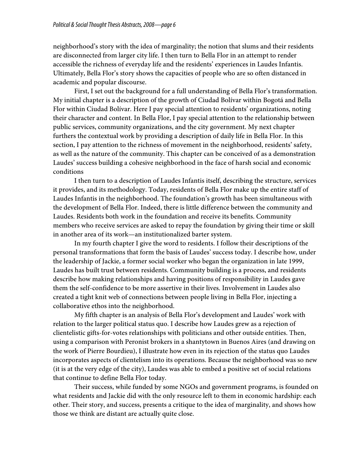neighborhood's story with the idea of marginality; the notion that slums and their residents are disconnected from larger city life. I then turn to Bella Flor in an attempt to render accessible the richness of everyday life and the residents' experiences in Laudes Infantis. Ultimately, Bella Flor's story shows the capacities of people who are so often distanced in academic and popular discourse.

First, I set out the background for a full understanding of Bella Flor's transformation. My initial chapter is a description of the growth of Ciudad Bolívar within Bogotá and Bella Flor within Ciudad Bolívar. Here I pay special attention to residents' organizations, noting their character and content. In Bella Flor, I pay special attention to the relationship between public services, community organizations, and the city government. My next chapter furthers the contextual work by providing a description of daily life in Bella Flor. In this section, I pay attention to the richness of movement in the neighborhood, residents' safety, as well as the nature of the community. This chapter can be conceived of as a demonstration Laudes' success building a cohesive neighborhood in the face of harsh social and economic conditions

I then turn to a description of Laudes Infantis itself, describing the structure, services it provides, and its methodology. Today, residents of Bella Flor make up the entire staff of Laudes Infantis in the neighborhood. The foundation's growth has been simultaneous with the development of Bella Flor. Indeed, there is little difference between the community and Laudes. Residents both work in the foundation and receive its benefits. Community members who receive services are asked to repay the foundation by giving their time or skill in another area of its work—an institutionalized barter system.

In my fourth chapter I give the word to residents. I follow their descriptions of the personal transformations that form the basis of Laudes' success today. I describe how, under the leadership of Jackie, a former social worker who began the organization in late 1999, Laudes has built trust between residents. Community building is a process, and residents describe how making relationships and having positions of responsibility in Laudes gave them the self-confidence to be more assertive in their lives. Involvement in Laudes also created a tight knit web of connections between people living in Bella Flor, injecting a collaborative ethos into the neighborhood.

My fifth chapter is an analysis of Bella Flor's development and Laudes' work with relation to the larger political status quo. I describe how Laudes grew as a rejection of clientelistic gifts-for-votes relationships with politicians and other outside entities. Then, using a comparison with Peronist brokers in a shantytown in Buenos Aires (and drawing on the work of Pierre Bourdieu), I illustrate how even in its rejection of the status quo Laudes incorporates aspects of clientelism into its operations. Because the neighborhood was so new (it is at the very edge of the city), Laudes was able to embed a positive set of social relations that continue to define Bella Flor today.

Their success, while funded by some NGOs and government programs, is founded on what residents and Jackie did with the only resource left to them in economic hardship: each other. Their story, and success, presents a critique to the idea of marginality, and shows how those we think are distant are actually quite close.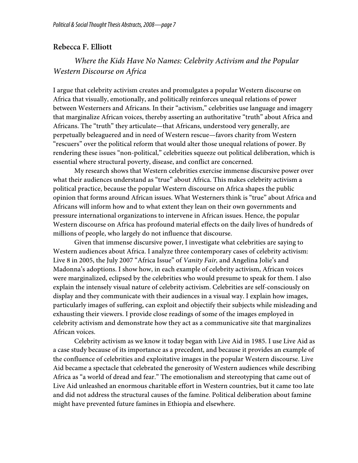# **Rebecca F. Elliott**

# *Where the Kids Have No Names: Celebrity Activism and the Popular Western Discourse on Africa*

I argue that celebrity activism creates and promulgates a popular Western discourse on Africa that visually, emotionally, and politically reinforces unequal relations of power between Westerners and Africans. In their "activism," celebrities use language and imagery that marginalize African voices, thereby asserting an authoritative "truth" about Africa and Africans. The "truth" they articulate—that Africans, understood very generally, are perpetually beleaguered and in need of Western rescue—favors charity from Western "rescuers" over the political reform that would alter those unequal relations of power. By rendering these issues "non-political," celebrities squeeze out political deliberation, which is essential where structural poverty, disease, and conflict are concerned.

My research shows that Western celebrities exercise immense discursive power over what their audiences understand as "true" about Africa. This makes celebrity activism a political practice, because the popular Western discourse on Africa shapes the public opinion that forms around African issues. What Westerners think is "true" about Africa and Africans will inform how and to what extent they lean on their own governments and pressure international organizations to intervene in African issues. Hence, the popular Western discourse on Africa has profound material effects on the daily lives of hundreds of millions of people, who largely do not influence that discourse.

Given that immense discursive power, I investigate what celebrities are saying to Western audiences about Africa. I analyze three contemporary cases of celebrity activism: Live 8 in 2005, the July 2007 "Africa Issue" of *Vanity Fair,* and Angelina Jolie's and Madonna's adoptions. I show how, in each example of celebrity activism, African voices were marginalized, eclipsed by the celebrities who would presume to speak for them. I also explain the intensely visual nature of celebrity activism. Celebrities are self-consciously on display and they communicate with their audiences in a visual way. I explain how images, particularly images of suffering, can exploit and objectify their subjects while misleading and exhausting their viewers. I provide close readings of some of the images employed in celebrity activism and demonstrate how they act as a communicative site that marginalizes African voices.

Celebrity activism as we know it today began with Live Aid in 1985. I use Live Aid as a case study because of its importance as a precedent, and because it provides an example of the confluence of celebrities and exploitative images in the popular Western discourse. Live Aid became a spectacle that celebrated the generosity of Western audiences while describing Africa as "a world of dread and fear." The emotionalism and stereotyping that came out of Live Aid unleashed an enormous charitable effort in Western countries, but it came too late and did not address the structural causes of the famine. Political deliberation about famine might have prevented future famines in Ethiopia and elsewhere.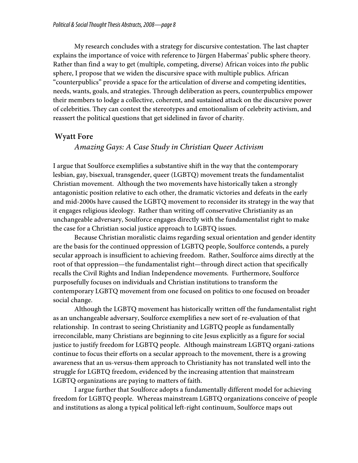My research concludes with a strategy for discursive contestation. The last chapter explains the importance of voice with reference to Jürgen Habermas' public sphere theory. Rather than find a way to get (multiple, competing, diverse) African voices into *the* public sphere, I propose that we widen the discursive space with multiple publics. African "counterpublics" provide a space for the articulation of diverse and competing identities, needs, wants, goals, and strategies. Through deliberation as peers, counterpublics empower their members to lodge a collective, coherent, and sustained attack on the discursive power of celebrities. They can contest the stereotypes and emotionalism of celebrity activism, and reassert the political questions that get sidelined in favor of charity.

# **Wyatt Fore**

### *Amazing Gays: A Case Study in Christian Queer Activism*

I argue that Soulforce exemplifies a substantive shift in the way that the contemporary lesbian, gay, bisexual, transgender, queer (LGBTQ) movement treats the fundamentalist Christian movement. Although the two movements have historically taken a strongly antagonistic position relative to each other, the dramatic victories and defeats in the early and mid-2000s have caused the LGBTQ movement to reconsider its strategy in the way that it engages religious ideology. Rather than writing off conservative Christianity as an unchangeable adversary, Soulforce engages directly with the fundamentalist right to make the case for a Christian social justice approach to LGBTQ issues.

Because Christian moralistic claims regarding sexual orientation and gender identity are the basis for the continued oppression of LGBTQ people, Soulforce contends, a purely secular approach is insufficient to achieving freedom. Rather, Soulforce aims directly at the root of that oppression—the fundamentalist right—through direct action that specifically recalls the Civil Rights and Indian Independence movements. Furthermore, Soulforce purposefully focuses on individuals and Christian institutions to transform the contemporary LGBTQ movement from one focused on politics to one focused on broader social change.

Although the LGBTQ movement has historically written off the fundamentalist right as an unchangeable adversary, Soulforce exemplifies a new sort of re-evaluation of that relationship. In contrast to seeing Christianity and LGBTQ people as fundamentally irreconcilable, many Christians are beginning to cite Jesus explicitly as a figure for social justice to justify freedom for LGBTQ people. Although mainstream LGBTQ organi-zations continue to focus their efforts on a secular approach to the movement, there is a growing awareness that an us-versus-them approach to Christianity has not translated well into the struggle for LGBTQ freedom, evidenced by the increasing attention that mainstream LGBTQ organizations are paying to matters of faith.

I argue further that Soulforce adopts a fundamentally different model for achieving freedom for LGBTQ people. Whereas mainstream LGBTQ organizations conceive of people and institutions as along a typical political left-right continuum, Soulforce maps out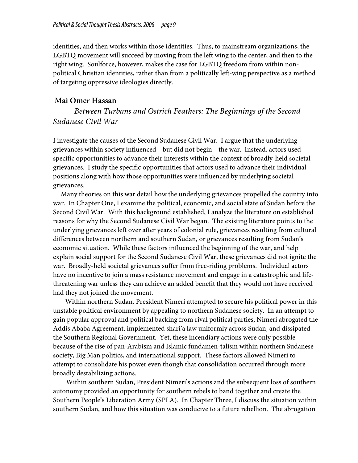identities, and then works within those identities. Thus, to mainstream organizations, the LGBTQ movement will succeed by moving from the left wing to the center, and then to the right wing. Soulforce, however, makes the case for LGBTQ freedom from within nonpolitical Christian identities, rather than from a politically left-wing perspective as a method of targeting oppressive ideologies directly.

# **Mai Omer Hassan**

*Between Turbans and Ostrich Feathers: The Beginnings of the Second Sudanese Civil War*

I investigate the causes of the Second Sudanese Civil War. I argue that the underlying grievances within society influenced—but did not begin—the war. Instead, actors used specific opportunities to advance their interests within the context of broadly-held societal grievances. I study the specific opportunities that actors used to advance their individual positions along with how those opportunities were influenced by underlying societal grievances.

Many theories on this war detail how the underlying grievances propelled the country into war. In Chapter One, I examine the political, economic, and social state of Sudan before the Second Civil War. With this background established, I analyze the literature on established reasons for why the Second Sudanese Civil War began. The existing literature points to the underlying grievances left over after years of colonial rule, grievances resulting from cultural differences between northern and southern Sudan, or grievances resulting from Sudan's economic situation. While these factors influenced the beginning of the war, and help explain social support for the Second Sudanese Civil War, these grievances did not ignite the war. Broadly-held societal grievances suffer from free-riding problems. Individual actors have no incentive to join a mass resistance movement and engage in a catastrophic and lifethreatening war unless they can achieve an added benefit that they would not have received had they not joined the movement.

Within northern Sudan, President Nimeri attempted to secure his political power in this unstable political environment by appealing to northern Sudanese society. In an attempt to gain popular approval and political backing from rival political parties, Nimeri abrogated the Addis Ababa Agreement, implemented shari'a law uniformly across Sudan, and dissipated the Southern Regional Government. Yet, these incendiary actions were only possible because of the rise of pan-Arabism and Islamic fundamen-talism within northern Sudanese society, Big Man politics, and international support. These factors allowed Nimeri to attempt to consolidate his power even though that consolidation occurred through more broadly destabilizing actions.

Within southern Sudan, President Nimeri's actions and the subsequent loss of southern autonomy provided an opportunity for southern rebels to band together and create the Southern People's Liberation Army (SPLA). In Chapter Three, I discuss the situation within southern Sudan, and how this situation was conducive to a future rebellion. The abrogation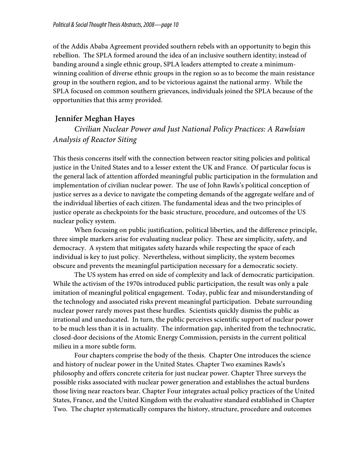of the Addis Ababa Agreement provided southern rebels with an opportunity to begin this rebellion. The SPLA formed around the idea of an inclusive southern identity; instead of banding around a single ethnic group, SPLA leaders attempted to create a minimumwinning coalition of diverse ethnic groups in the region so as to become the main resistance group in the southern region, and to be victorious against the national army. While the SPLA focused on common southern grievances, individuals joined the SPLA because of the opportunities that this army provided.

# **Jennifer Meghan Hayes**

 *Civilian Nuclear Power and Just National Policy Practices: A Rawlsian Analysis of Reactor Siting*

This thesis concerns itself with the connection between reactor siting policies and political justice in the United States and to a lesser extent the UK and France. Of particular focus is the general lack of attention afforded meaningful public participation in the formulation and implementation of civilian nuclear power. The use of John Rawls's political conception of justice serves as a device to navigate the competing demands of the aggregate welfare and of the individual liberties of each citizen. The fundamental ideas and the two principles of justice operate as checkpoints for the basic structure, procedure, and outcomes of the US nuclear policy system.

When focusing on public justification, political liberties, and the difference principle, three simple markers arise for evaluating nuclear policy. These are simplicity, safety, and democracy. A system that mitigates safety hazards while respecting the space of each individual is key to just policy. Nevertheless, without simplicity, the system becomes obscure and prevents the meaningful participation necessary for a democratic society.

The US system has erred on side of complexity and lack of democratic participation. While the activism of the 1970s introduced public participation, the result was only a pale imitation of meaningful political engagement. Today, public fear and misunderstanding of the technology and associated risks prevent meaningful participation. Debate surrounding nuclear power rarely moves past these hurdles. Scientists quickly dismiss the public as irrational and uneducated. In turn, the public perceives scientific support of nuclear power to be much less than it is in actuality. The information gap, inherited from the technocratic, closed-door decisions of the Atomic Energy Commission, persists in the current political milieu in a more subtle form.

Four chapters comprise the body of the thesis. Chapter One introduces the science and history of nuclear power in the United States. Chapter Two examines Rawls's philosophy and offers concrete criteria for just nuclear power. Chapter Three surveys the possible risks associated with nuclear power generation and establishes the actual burdens those living near reactors bear. Chapter Four integrates actual policy practices of the United States, France, and the United Kingdom with the evaluative standard established in Chapter Two. The chapter systematically compares the history, structure, procedure and outcomes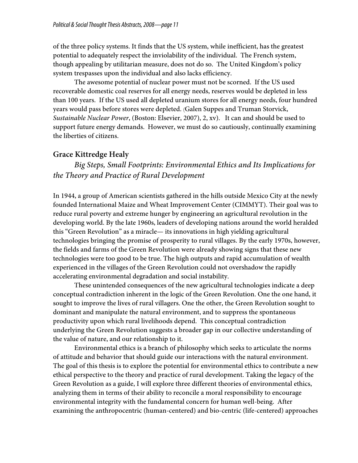of the three policy systems. It finds that the US system, while inefficient, has the greatest potential to adequately respect the inviolability of the individual. The French system, though appealing by utilitarian measure, does not do so. The United Kingdom's policy system trespasses upon the individual and also lacks efficiency.

The awesome potential of nuclear power must not be scorned. If the US used recoverable domestic coal reserves for all energy needs, reserves would be depleted in less than 100 years. If the US used all depleted uranium stores for all energy needs, four hundred years would pass before stores were depleted. (Galen Suppes and Truman Storvick, *Sustainable Nuclear Power*, (Boston: Elsevier, 2007), 2, xv). It can and should be used to support future energy demands. However, we must do so cautiously, continually examining the liberties of citizens.

# **Grace Kittredge Healy**

 *Big Steps, Small Footprints: Environmental Ethics and Its Implications for the Theory and Practice of Rural Development*

In 1944, a group of American scientists gathered in the hills outside Mexico City at the newly founded International Maize and Wheat Improvement Center (CIMMYT). Their goal was to reduce rural poverty and extreme hunger by engineering an agricultural revolution in the developing world. By the late 1960s, leaders of developing nations around the world heralded this "Green Revolution" as a miracle— its innovations in high yielding agricultural technologies bringing the promise of prosperity to rural villages. By the early 1970s, however, the fields and farms of the Green Revolution were already showing signs that these new technologies were too good to be true. The high outputs and rapid accumulation of wealth experienced in the villages of the Green Revolution could not overshadow the rapidly accelerating environmental degradation and social instability.

These unintended consequences of the new agricultural technologies indicate a deep conceptual contradiction inherent in the logic of the Green Revolution. One the one hand, it sought to improve the lives of rural villagers. One the other, the Green Revolution sought to dominant and manipulate the natural environment, and to suppress the spontaneous productivity upon which rural livelihoods depend. This conceptual contradiction underlying the Green Revolution suggests a broader gap in our collective understanding of the value of nature, and our relationship to it.

Environmental ethics is a branch of philosophy which seeks to articulate the norms of attitude and behavior that should guide our interactions with the natural environment. The goal of this thesis is to explore the potential for environmental ethics to contribute a new ethical perspective to the theory and practice of rural development. Taking the legacy of the Green Revolution as a guide, I will explore three different theories of environmental ethics, analyzing them in terms of their ability to reconcile a moral responsibility to encourage environmental integrity with the fundamental concern for human well-being. After examining the anthropocentric (human-centered) and bio-centric (life-centered) approaches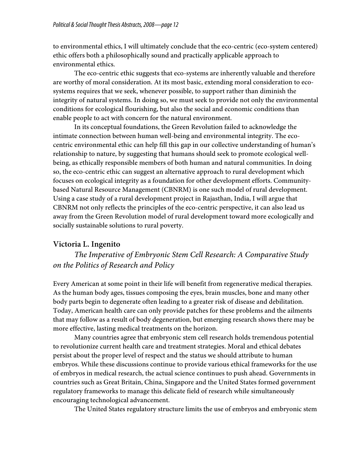to environmental ethics, I will ultimately conclude that the eco-centric (eco-system centered) ethic offers both a philosophically sound and practically applicable approach to environmental ethics.

The eco-centric ethic suggests that eco-systems are inherently valuable and therefore are worthy of moral consideration. At its most basic, extending moral consideration to ecosystems requires that we seek, whenever possible, to support rather than diminish the integrity of natural systems. In doing so, we must seek to provide not only the environmental conditions for ecological flourishing, but also the social and economic conditions than enable people to act with concern for the natural environment.

In its conceptual foundations, the Green Revolution failed to acknowledge the intimate connection between human well-being and environmental integrity. The ecocentric environmental ethic can help fill this gap in our collective understanding of human's relationship to nature, by suggesting that humans should seek to promote ecological wellbeing, as ethically responsible members of both human and natural communities. In doing so, the eco-centric ethic can suggest an alternative approach to rural development which focuses on ecological integrity as a foundation for other development efforts. Communitybased Natural Resource Management (CBNRM) is one such model of rural development. Using a case study of a rural development project in Rajasthan, India, I will argue that CBNRM not only reflects the principles of the eco-centric perspective, it can also lead us away from the Green Revolution model of rural development toward more ecologically and socially sustainable solutions to rural poverty.

# **Victoria L. Ingenito**

*The Imperative of Embryonic Stem Cell Research: A Comparative Study on the Politics of Research and Policy*

Every American at some point in their life will benefit from regenerative medical therapies. As the human body ages, tissues composing the eyes, brain muscles, bone and many other body parts begin to degenerate often leading to a greater risk of disease and debilitation. Today, American health care can only provide patches for these problems and the ailments that may follow as a result of body degeneration, but emerging research shows there may be more effective, lasting medical treatments on the horizon.

Many countries agree that embryonic stem cell research holds tremendous potential to revolutionize current health care and treatment strategies. Moral and ethical debates persist about the proper level of respect and the status we should attribute to human embryos. While these discussions continue to provide various ethical frameworks for the use of embryos in medical research, the actual science continues to push ahead. Governments in countries such as Great Britain, China, Singapore and the United States formed government regulatory frameworks to manage this delicate field of research while simultaneously encouraging technological advancement.

The United States regulatory structure limits the use of embryos and embryonic stem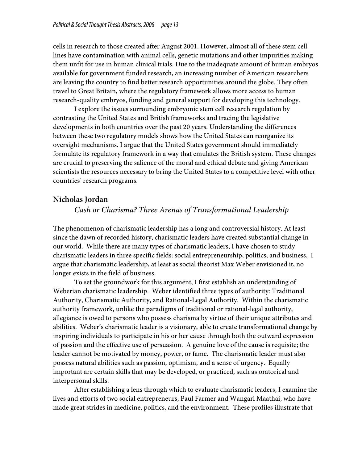cells in research to those created after August 2001. However, almost all of these stem cell lines have contamination with animal cells, genetic mutations and other impurities making them unfit for use in human clinical trials. Due to the inadequate amount of human embryos available for government funded research, an increasing number of American researchers are leaving the country to find better research opportunities around the globe. They often travel to Great Britain, where the regulatory framework allows more access to human research-quality embryos, funding and general support for developing this technology.

I explore the issues surrounding embryonic stem cell research regulation by contrasting the United States and British frameworks and tracing the legislative developments in both countries over the past 20 years. Understanding the differences between these two regulatory models shows how the United States can reorganize its oversight mechanisms. I argue that the United States government should immediately formulate its regulatory framework in a way that emulates the British system. These changes are crucial to preserving the salience of the moral and ethical debate and giving American scientists the resources necessary to bring the United States to a competitive level with other countries' research programs.

# **Nicholas Jordan**

# *Cash or Charisma? Three Arenas of Transformational Leadership*

The phenomenon of charismatic leadership has a long and controversial history. At least since the dawn of recorded history, charismatic leaders have created substantial change in our world. While there are many types of charismatic leaders, I have chosen to study charismatic leaders in three specific fields: social entrepreneurship, politics, and business. I argue that charismatic leadership, at least as social theorist Max Weber envisioned it, no longer exists in the field of business.

To set the groundwork for this argument, I first establish an understanding of Weberian charismatic leadership. Weber identified three types of authority: Traditional Authority, Charismatic Authority, and Rational-Legal Authority. Within the charismatic authority framework, unlike the paradigms of traditional or rational-legal authority, allegiance is owed to persons who possess charisma by virtue of their unique attributes and abilities. Weber's charismatic leader is a visionary, able to create transformational change by inspiring individuals to participate in his or her cause through both the outward expression of passion and the effective use of persuasion. A genuine love of the cause is requisite; the leader cannot be motivated by money, power, or fame. The charismatic leader must also possess natural abilities such as passion, optimism, and a sense of urgency. Equally important are certain skills that may be developed, or practiced, such as oratorical and interpersonal skills.

After establishing a lens through which to evaluate charismatic leaders, I examine the lives and efforts of two social entrepreneurs, Paul Farmer and Wangari Maathai, who have made great strides in medicine, politics, and the environment. These profiles illustrate that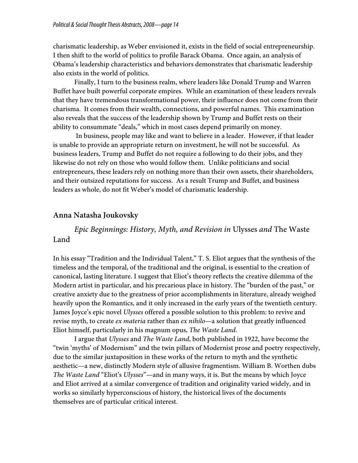charismatic leadership, as Weber envisioned it, exists in the field of social entrepreneurship. I then shift to the world of politics to profile Barack Obama. Once again, an analysis of Obama's leadership characteristics and behaviors demonstrates that charismatic leadership also exists in the world of politics.

Finally, I turn to the business realm, where leaders like Donald Trump and Warren Buffet have built powerful corporate empires. While an examination of these leaders reveals that they have tremendous transformational power, their influence does not come from their charisma. It comes from their wealth, connections, and powerful names. This examination also reveals that the success of the leadership shown by Trump and Buffet rests on their ability to consummate "deals," which in most cases depend primarily on money.

In business, people may like and want to believe in a leader. However, if that leader is unable to provide an appropriate return on investment, he will not be successful. As business leaders, Trump and Buffet do not require a following to do their jobs, and they likewise do not rely on those who would follow them. Unlike politicians and social entrepreneurs, these leaders rely on nothing more than their own assets, their shareholders, and their outsized reputations for success. As a result Trump and Buffet, and business leaders as whole, do not fit Weber's model of charismatic leadership.

### **Anna Natasha Joukovsky**

*Epic Beginnings: History, Myth, and Revision in* Ulysses *and* The Waste Land

In his essay "Tradition and the Individual Talent," T. S. Eliot argues that the synthesis of the timeless and the temporal, of the traditional and the original, is essential to the creation of canonical, lasting literature. I suggest that Eliot's theory reflects the creative dilemma of the Modern artist in particular, and his precarious place in history. The "burden of the past," or creative anxiety due to the greatness of prior accomplishments in literature, already weighed heavily upon the Romantics, and it only increased in the early years of the twentieth century. James Joyce's epic novel *Ulysses* offered a possible solution to this problem: to revive and revise myth, to create *ex materia* rather than *ex nihilo*—a solution that greatly influenced Eliot himself, particularly in his magnum opus, *The Waste Land*.

I argue that *Ulysses* and *The Waste Land*, both published in 1922, have become the "twin 'myths' of Modernism" and the twin pillars of Modernist prose and poetry respectively, due to the similar juxtaposition in these works of the return to myth and the synthetic aesthetic—a new, distinctly Modern style of allusive fragmentism. William B. Worthen dubs *The Waste Land* "Eliot's *Ulysses*"—and in many ways, it is. But the means by which Joyce and Eliot arrived at a similar convergence of tradition and originality varied widely, and in works so similarly hyperconscious of history, the historical lives of the documents themselves are of particular critical interest.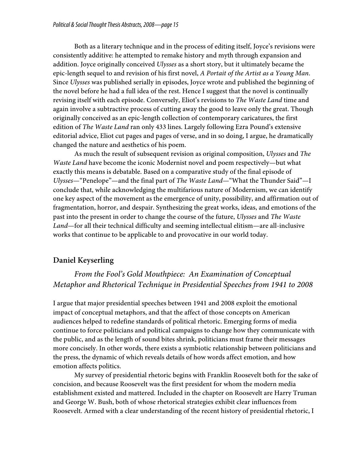Both as a literary technique and in the process of editing itself, Joyce's revisions were consistently additive: he attempted to remake history and myth through expansion and addition. Joyce originally conceived *Ulysses* as a short story, but it ultimately became the epic-length sequel to and revision of his first novel, *A Portait of the Artist as a Young Man*. Since *Ulysses* was published serially in episodes, Joyce wrote and published the beginning of the novel before he had a full idea of the rest. Hence I suggest that the novel is continually revising itself with each episode. Conversely, Eliot's revisions to *The Waste Land* time and again involve a subtractive process of cutting away the good to leave only the great. Though originally conceived as an epic-length collection of contemporary caricatures, the first edition of *The Waste Land* ran only 433 lines. Largely following Ezra Pound's extensive editorial advice, Eliot cut pages and pages of verse, and in so doing, I argue, he dramatically changed the nature and aesthetics of his poem.

As much the result of subsequent revision as original composition, *Ulysses* and *The Waste Land* have become the iconic Modernist novel and poem respectively—but what exactly this means is debatable. Based on a comparative study of the final episode of *Ulysses*—"Penelope"—and the final part of *The Waste Land*—"What the Thunder Said"—I conclude that, while acknowledging the multifarious nature of Modernism, we can identify one key aspect of the movement as the emergence of unity, possibility, and affirmation out of fragmentation, horror, and despair. Synthesizing the great works, ideas, and emotions of the past into the present in order to change the course of the future, *Ulysses* and *The Waste Land*—for all their technical difficulty and seeming intellectual elitism—are all-inclusive works that continue to be applicable to and provocative in our world today.

# **Daniel Keyserling**

*From the Fool's Gold Mouthpiece: An Examination of Conceptual Metaphor and Rhetorical Technique in Presidential Speeches from 1941 to 2008*

I argue that major presidential speeches between 1941 and 2008 exploit the emotional impact of conceptual metaphors, and that the affect of those concepts on American audiences helped to redefine standards of political rhetoric. Emerging forms of media continue to force politicians and political campaigns to change how they communicate with the public, and as the length of sound bites shrink, politicians must frame their messages more concisely. In other words, there exists a symbiotic relationship between politicians and the press, the dynamic of which reveals details of how words affect emotion, and how emotion affects politics.

My survey of presidential rhetoric begins with Franklin Roosevelt both for the sake of concision, and because Roosevelt was the first president for whom the modern media establishment existed and mattered. Included in the chapter on Roosevelt are Harry Truman and George W. Bush, both of whose rhetorical strategies exhibit clear influences from Roosevelt. Armed with a clear understanding of the recent history of presidential rhetoric, I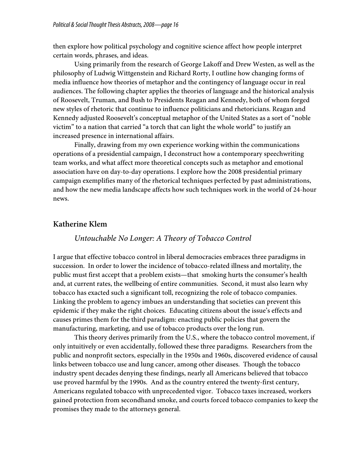then explore how political psychology and cognitive science affect how people interpret certain words, phrases, and ideas.

Using primarily from the research of George Lakoff and Drew Westen, as well as the philosophy of Ludwig Wittgenstein and Richard Rorty, I outline how changing forms of media influence how theories of metaphor and the contingency of language occur in real audiences. The following chapter applies the theories of language and the historical analysis of Roosevelt, Truman, and Bush to Presidents Reagan and Kennedy, both of whom forged new styles of rhetoric that continue to influence politicians and rhetoricians. Reagan and Kennedy adjusted Roosevelt's conceptual metaphor of the United States as a sort of "noble victim" to a nation that carried "a torch that can light the whole world" to justify an increased presence in international affairs.

Finally, drawing from my own experience working within the communications operations of a presidential campaign, I deconstruct how a contemporary speechwriting team works, and what affect more theoretical concepts such as metaphor and emotional association have on day-to-day operations. I explore how the 2008 presidential primary campaign exemplifies many of the rhetorical techniques perfected by past administrations, and how the new media landscape affects how such techniques work in the world of 24-hour news.

### **Katherine Klem**

### *Untouchable No Longer: A Theory of Tobacco Control*

I argue that effective tobacco control in liberal democracies embraces three paradigms in succession. In order to lower the incidence of tobacco-related illness and mortality, the public must first accept that a problem exists—that smoking hurts the consumer's health and, at current rates, the wellbeing of entire communities. Second, it must also learn why tobacco has exacted such a significant toll, recognizing the role of tobacco companies. Linking the problem to agency imbues an understanding that societies can prevent this epidemic if they make the right choices. Educating citizens about the issue's effects and causes primes them for the third paradigm: enacting public policies that govern the manufacturing, marketing, and use of tobacco products over the long run.

This theory derives primarily from the U.S., where the tobacco control movement, if only intuitively or even accidentally, followed these three paradigms. Researchers from the public and nonprofit sectors, especially in the 1950s and 1960s, discovered evidence of causal links between tobacco use and lung cancer, among other diseases. Though the tobacco industry spent decades denying these findings, nearly all Americans believed that tobacco use proved harmful by the 1990s. And as the country entered the twenty-first century, Americans regulated tobacco with unprecedented vigor. Tobacco taxes increased, workers gained protection from secondhand smoke, and courts forced tobacco companies to keep the promises they made to the attorneys general.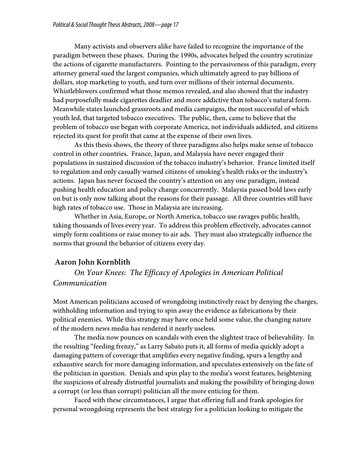Many activists and observers alike have failed to recognize the importance of the paradigm between these phases. During the 1990s, advocates helped the country scrutinize the actions of cigarette manufacturers. Pointing to the pervasiveness of this paradigm, every attorney general sued the largest companies, which ultimately agreed to pay billions of dollars, stop marketing to youth, and turn over millions of their internal documents. Whistleblowers confirmed what those memos revealed, and also showed that the industry had purposefully made cigarettes deadlier and more addictive than tobacco's natural form. Meanwhile states launched grassroots and media campaigns, the most successful of which youth led, that targeted tobacco executives. The public, then, came to believe that the problem of tobacco use began with corporate America, not individuals addicted, and citizens rejected its quest for profit that came at the expense of their own lives.

As this thesis shows, the theory of three paradigms also helps make sense of tobacco control in other countries. France, Japan, and Malaysia have never engaged their populations in sustained discussion of the tobacco industry's behavior. France limited itself to regulation and only casually warned citizens of smoking's health risks or the industry's actions. Japan has never focused the country's attention on any one paradigm, instead pushing health education and policy change concurrently. Malaysia passed bold laws early on but is only now talking about the reasons for their passage. All three countries still have high rates of tobacco use. Those in Malaysia are increasing.

Whether in Asia, Europe, or North America, tobacco use ravages public health, taking thousands of lives every year. To address this problem effectively, advocates cannot simply form coalitions or raise money to air ads. They must also strategically influence the norms that ground the behavior of citizens every day.

# **Aaron John Kornblith**

*On Your Knees: The Efficacy of Apologies in American Political Communication*

Most American politicians accused of wrongdoing instinctively react by denying the charges, withholding information and trying to spin away the evidence as fabrications by their political enemies. While this strategy may have once held some value, the changing nature of the modern news media has rendered it nearly useless.

The media now pounces on scandals with even the slightest trace of believability. In the resulting "feeding frenzy," as Larry Sabato puts it, all forms of media quickly adopt a damaging pattern of coverage that amplifies every negative finding, spurs a lengthy and exhaustive search for more damaging information, and speculates extensively on the fate of the politician in question. Denials and spin play to the media's worst features, heightening the suspicions of already distrustful journalists and making the possibility of bringing down a corrupt (or less than corrupt) politician all the more enticing for them.

Faced with these circumstances, I argue that offering full and frank apologies for personal wrongdoing represents the best strategy for a politician looking to mitigate the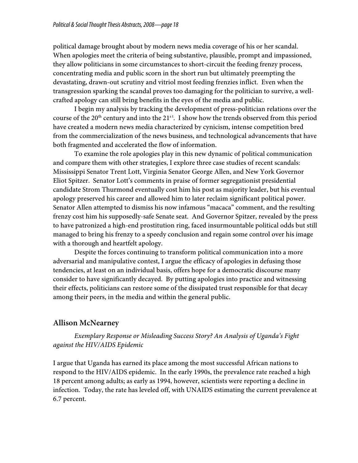political damage brought about by modern news media coverage of his or her scandal. When apologies meet the criteria of being substantive, plausible, prompt and impassioned, they allow politicians in some circumstances to short-circuit the feeding frenzy process, concentrating media and public scorn in the short run but ultimately preempting the devastating, drawn-out scrutiny and vitriol most feeding frenzies inflict. Even when the transgression sparking the scandal proves too damaging for the politician to survive, a wellcrafted apology can still bring benefits in the eyes of the media and public.

I begin my analysis by tracking the development of press-politician relations over the course of the  $20<sup>th</sup>$  century and into the  $21<sup>st</sup>$ . I show how the trends observed from this period have created a modern news media characterized by cynicism, intense competition bred from the commercialization of the news business, and technological advancements that have both fragmented and accelerated the flow of information.

To examine the role apologies play in this new dynamic of political communication and compare them with other strategies, I explore three case studies of recent scandals: Mississippi Senator Trent Lott, Virginia Senator George Allen, and New York Governor Eliot Spitzer. Senator Lott's comments in praise of former segregationist presidential candidate Strom Thurmond eventually cost him his post as majority leader, but his eventual apology preserved his career and allowed him to later reclaim significant political power. Senator Allen attempted to dismiss his now infamous "macaca" comment, and the resulting frenzy cost him his supposedly-safe Senate seat. And Governor Spitzer, revealed by the press to have patronized a high-end prostitution ring, faced insurmountable political odds but still managed to bring his frenzy to a speedy conclusion and regain some control over his image with a thorough and heartfelt apology.

Despite the forces continuing to transform political communication into a more adversarial and manipulative contest, I argue the efficacy of apologies in defusing those tendencies, at least on an individual basis, offers hope for a democratic discourse many consider to have significantly decayed. By putting apologies into practice and witnessing their effects, politicians can restore some of the dissipated trust responsible for that decay among their peers, in the media and within the general public.

# **Allison McNearney**

*Exemplary Response or Misleading Success Story? An Analysis of Uganda's Fight against the HIV/AIDS Epidemic*

I argue that Uganda has earned its place among the most successful African nations to respond to the HIV/AIDS epidemic. In the early 1990s, the prevalence rate reached a high 18 percent among adults; as early as 1994, however, scientists were reporting a decline in infection. Today, the rate has leveled off, with UNAIDS estimating the current prevalence at 6.7 percent.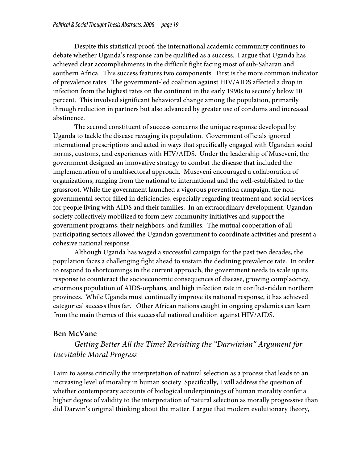Despite this statistical proof, the international academic community continues to debate whether Uganda's response can be qualified as a success. I argue that Uganda has achieved clear accomplishments in the difficult fight facing most of sub-Saharan and southern Africa. This success features two components. First is the more common indicator of prevalence rates. The government-led coalition against HIV/AIDS affected a drop in infection from the highest rates on the continent in the early 1990s to securely below 10 percent. This involved significant behavioral change among the population, primarily through reduction in partners but also advanced by greater use of condoms and increased abstinence.

The second constituent of success concerns the unique response developed by Uganda to tackle the disease ravaging its population. Government officials ignored international prescriptions and acted in ways that specifically engaged with Ugandan social norms, customs, and experiences with HIV/AIDS. Under the leadership of Museveni, the government designed an innovative strategy to combat the disease that included the implementation of a multisectoral approach. Museveni encouraged a collaboration of organizations, ranging from the national to international and the well-established to the grassroot. While the government launched a vigorous prevention campaign, the nongovernmental sector filled in deficiencies, especially regarding treatment and social services for people living with AIDS and their families. In an extraordinary development, Ugandan society collectively mobilized to form new community initiatives and support the government programs, their neighbors, and families. The mutual cooperation of all participating sectors allowed the Ugandan government to coordinate activities and present a cohesive national response.

Although Uganda has waged a successful campaign for the past two decades, the population faces a challenging fight ahead to sustain the declining prevalence rate. In order to respond to shortcomings in the current approach, the government needs to scale up its response to counteract the socioeconomic consequences of disease, growing complacency, enormous population of AIDS-orphans, and high infection rate in conflict-ridden northern provinces. While Uganda must continually improve its national response, it has achieved categorical success thus far. Other African nations caught in ongoing epidemics can learn from the main themes of this successful national coalition against HIV/AIDS.

# **Ben McVane**

# *Getting Better All the Time? Revisiting the "Darwinian" Argument for Inevitable Moral Progress*

I aim to assess critically the interpretation of natural selection as a process that leads to an increasing level of morality in human society. Specifically, I will address the question of whether contemporary accounts of biological underpinnings of human morality confer a higher degree of validity to the interpretation of natural selection as morally progressive than did Darwin's original thinking about the matter. I argue that modern evolutionary theory,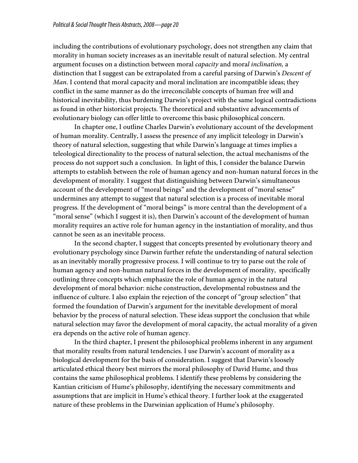including the contributions of evolutionary psychology, does not strengthen any claim that morality in human society increases as an inevitable result of natural selection. My central argument focuses on a distinction between moral *capacity* and mora*l inclination,* a distinction that I suggest can be extrapolated from a careful parsing of Darwin's *Descent of Man*. I contend that moral capacity and moral inclination are incompatible ideas; they conflict in the same manner as do the irreconcilable concepts of human free will and historical inevitability, thus burdening Darwin's project with the same logical contradictions as found in other historicist projects. The theoretical and substantive advancements of evolutionary biology can offer little to overcome this basic philosophical concern.

In chapter one, I outline Charles Darwin's evolutionary account of the development of human morality. Centrally, I assess the presence of any implicit teleology in Darwin's theory of natural selection, suggesting that while Darwin's language at times implies a teleological directionality to the process of natural selection, the actual mechanisms of the process do not support such a conclusion. In light of this, I consider the balance Darwin attempts to establish between the role of human agency and non-human natural forces in the development of morality. I suggest that distinguishing between Darwin's simultaneous account of the development of "moral beings" and the development of "moral sense" undermines any attempt to suggest that natural selection is a process of inevitable moral progress. If the development of "moral beings" is more central than the development of a "moral sense" (which I suggest it is), then Darwin's account of the development of human morality requires an active role for human agency in the instantiation of morality, and thus cannot be seen as an inevitable process.

In the second chapter, I suggest that concepts presented by evolutionary theory and evolutionary psychology since Darwin further refute the understanding of natural selection as an inevitably morally progressive process. I will continue to try to parse out the role of human agency and non-human natural forces in the development of morality, specifically outlining three concepts which emphasize the role of human agency in the natural development of moral behavior: niche construction, developmental robustness and the influence of culture. I also explain the rejection of the concept of "group selection" that formed the foundation of Darwin's argument for the inevitable development of moral behavior by the process of natural selection. These ideas support the conclusion that while natural selection may favor the development of moral capacity, the actual morality of a given era depends on the active role of human agency.

In the third chapter, I present the philosophical problems inherent in any argument that morality results from natural tendencies. I use Darwin's account of morality as a biological development for the basis of consideration. I suggest that Darwin's loosely articulated ethical theory best mirrors the moral philosophy of David Hume, and thus contains the same philosophical problems. I identify these problems by considering the Kantian criticism of Hume's philosophy, identifying the necessary commitments and assumptions that are implicit in Hume's ethical theory. I further look at the exaggerated nature of these problems in the Darwinian application of Hume's philosophy.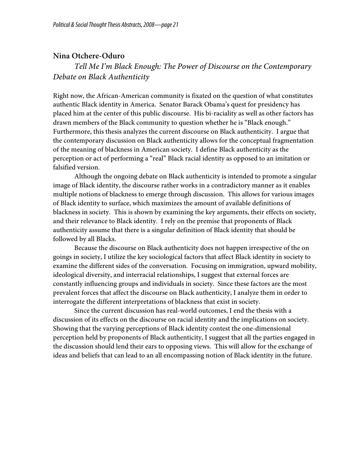# **Nina Otchere-Oduro**

# *Tell Me I'm Black Enough: The Power of Discourse on the Contemporary Debate on Black Authenticity*

Right now, the African-American community is fixated on the question of what constitutes authentic Black identity in America. Senator Barack Obama's quest for presidency has placed him at the center of this public discourse. His bi-raciality as well as other factors has drawn members of the Black community to question whether he is "Black enough." Furthermore, this thesis analyzes the current discourse on Black authenticity. I argue that the contemporary discussion on Black authenticity allows for the conceptual fragmentation of the meaning of blackness in American society. I define Black authenticity as the perception or act of performing a "real" Black racial identity as opposed to an imitation or falsified version.

Although the ongoing debate on Black authenticity is intended to promote a singular image of Black identity, the discourse rather works in a contradictory manner as it enables multiple notions of blackness to emerge through discussion. This allows for various images of Black identity to surface, which maximizes the amount of available definitions of blackness in society. This is shown by examining the key arguments, their effects on society, and their relevance to Black identity. I rely on the premise that proponents of Black authenticity assume that there is a singular definition of Black identity that should be followed by all Blacks.

Because the discourse on Black authenticity does not happen irrespective of the on goings in society, I utilize the key sociological factors that affect Black identity in society to examine the different sides of the conversation. Focusing on immigration, upward mobility, ideological diversity, and interracial relationships, I suggest that external forces are constantly influencing groups and individuals in society. Since these factors are the most prevalent forces that affect the discourse on Black authenticity, I analyze them in order to interrogate the different interpretations of blackness that exist in society.

Since the current discussion has real-world outcomes, I end the thesis with a discussion of its effects on the discourse on racial identity and the implications on society. Showing that the varying perceptions of Black identity contest the one-dimensional perception held by proponents of Black authenticity, I suggest that all the parties engaged in the discussion should lend their ears to opposing views. This will allow for the exchange of ideas and beliefs that can lead to an all encompassing notion of Black identity in the future.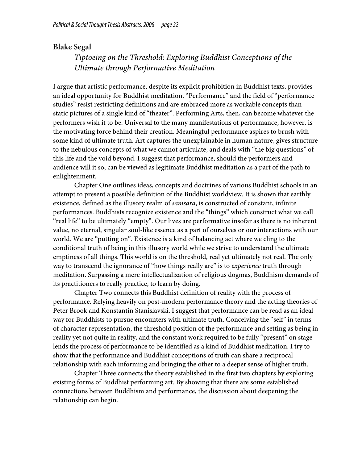# **Blake Segal**

# *Tiptoeing on the Threshold: Exploring Buddhist Conceptions of the Ultimate through Performative Meditation*

I argue that artistic performance, despite its explicit prohibition in Buddhist texts, provides an ideal opportunity for Buddhist meditation. "Performance" and the field of "performance studies" resist restricting definitions and are embraced more as workable concepts than static pictures of a single kind of "theater". Performing Arts, then, can become whatever the performers wish it to be. Universal to the many manifestations of performance, however, is the motivating force behind their creation. Meaningful performance aspires to brush with some kind of ultimate truth. Art captures the unexplainable in human nature, gives structure to the nebulous concepts of what we cannot articulate, and deals with "the big questions" of this life and the void beyond. I suggest that performance, should the performers and audience will it so, can be viewed as legitimate Buddhist meditation as a part of the path to enlightenment.

Chapter One outlines ideas, concepts and doctrines of various Buddhist schools in an attempt to present a possible definition of the Buddhist worldview. It is shown that earthly existence, defined as the illusory realm of *samsara*, is constructed of constant, infinite performances. Buddhists recognize existence and the "things" which construct what we call "real life" to be ultimately "empty". Our lives are performative insofar as there is no inherent value, no eternal, singular soul-like essence as a part of ourselves or our interactions with our world. We are "putting on". Existence is a kind of balancing act where we cling to the conditional truth of being in this illusory world while we strive to understand the ultimate emptiness of all things. This world is on the threshold, real yet ultimately not real. The only way to transcend the ignorance of "how things really are" is to *experience* truth through meditation. Surpassing a mere intellectualization of religious dogmas, Buddhism demands of its practitioners to really practice, to learn by doing.

Chapter Two connects this Buddhist definition of reality with the process of performance. Relying heavily on post-modern performance theory and the acting theories of Peter Brook and Konstantin Stanislavski, I suggest that performance can be read as an ideal way for Buddhists to pursue encounters with ultimate truth. Conceiving the "self" in terms of character representation, the threshold position of the performance and setting as being in reality yet not quite in reality, and the constant work required to be fully "present" on stage lends the process of performance to be identified as a kind of Buddhist meditation. I try to show that the performance and Buddhist conceptions of truth can share a reciprocal relationship with each informing and bringing the other to a deeper sense of higher truth.

Chapter Three connects the theory established in the first two chapters by exploring existing forms of Buddhist performing art. By showing that there are some established connections between Buddhism and performance, the discussion about deepening the relationship can begin.